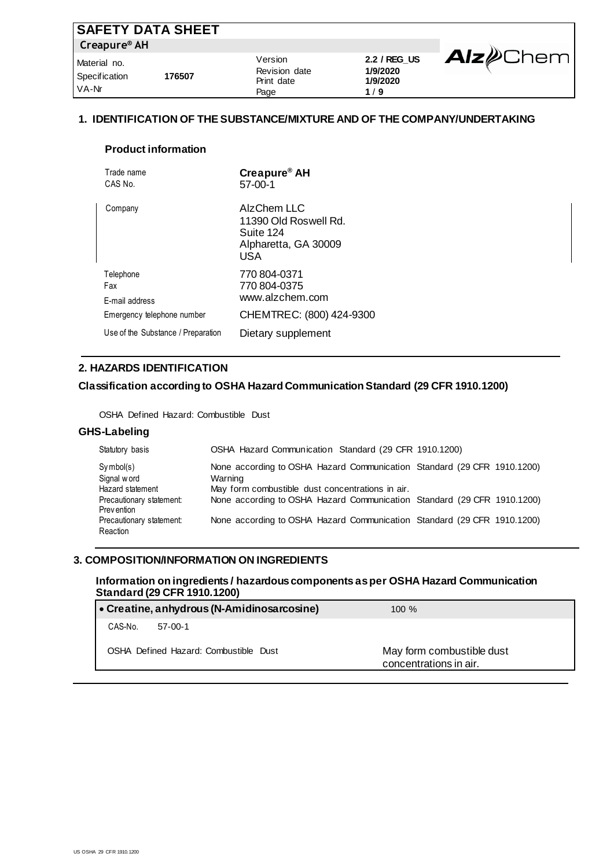| <b>SAFETY DATA SHEET</b>               |        |                                                |                                             |                          |
|----------------------------------------|--------|------------------------------------------------|---------------------------------------------|--------------------------|
| Creapure <sup>®</sup> AH               |        |                                                |                                             |                          |
| Material no.<br>Specification<br>VA-Nr | 176507 | Version<br>Revision date<br>Print date<br>Page | 2.2 / REG_US<br>1/9/2020<br>1/9/2020<br>1/9 | <b>Alz</b> <i>D</i> Chem |

# **1. IDENTIFICATION OF THE SUBSTANCE/MIXTURE AND OF THE COMPANY/UNDERTAKING**

#### **Product information**

| Trade name<br>CAS No.              | Creapure <sup>®</sup> AH<br>$57-00-1$                                            |
|------------------------------------|----------------------------------------------------------------------------------|
| Company                            | AlzChem LLC<br>11390 Old Roswell Rd.<br>Suite 124<br>Alpharetta, GA 30009<br>USA |
| Telephone<br>Fax<br>E-mail address | 770 804-0371<br>770 804-0375<br>www.alzchem.com                                  |
| Emergency telephone number         | CHEMTREC: (800) 424-9300                                                         |
| Use of the Substance / Preparation | Dietary supplement                                                               |

#### **2. HAZARDS IDENTIFICATION**

### **Classification according to OSHA Hazard Communication Standard (29 CFR 1910.1200)**

OSHA Defined Hazard: Combustible Dust

#### **GHS-Labeling**

| Statutory basis                                 | OSHA Hazard Communication Standard (29 CFR 1910.1200)                                                                                  |
|-------------------------------------------------|----------------------------------------------------------------------------------------------------------------------------------------|
| $Sv$ mbol(s)<br>Signal word<br>Hazard statement | None according to OSHA Hazard Communication Standard (29 CFR 1910.1200)<br>Warning<br>May form combustible dust concentrations in air. |
| Precautionary statement:<br><b>Prevention</b>   | None according to OSHA Hazard Communication Standard (29 CFR 1910.1200)                                                                |
| Precautionary statement:<br>Reaction            | None according to OSHA Hazard Communication Standard (29 CFR 1910.1200)                                                                |

# **3. COMPOSITION/INFORMATION ON INGREDIENTS**

# **Information on ingredients / hazardous components as per OSHA Hazard Communication Standard (29 CFR 1910.1200)**

| $\bullet$ Creatine, anhydrous (N-Amidinosarcosine) | $100 \%$                                            |
|----------------------------------------------------|-----------------------------------------------------|
| CAS-No.<br>$57-00-1$                               |                                                     |
| OSHA Defined Hazard: Combustible Dust              | May form combustible dust<br>concentrations in air. |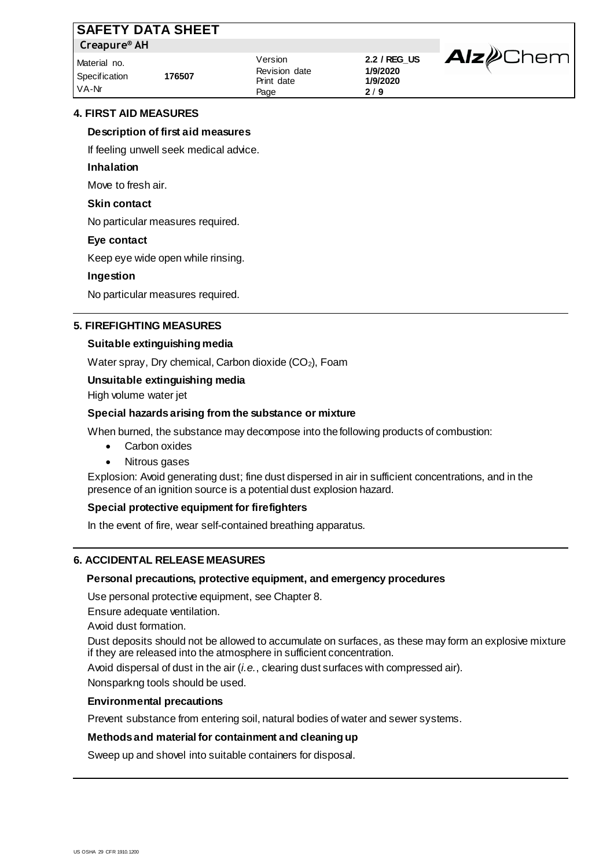| <b>SAFETY DATA SHEET</b>               |        |                                                |                                             |                         |
|----------------------------------------|--------|------------------------------------------------|---------------------------------------------|-------------------------|
| Creapure <sup>®</sup> AH               |        |                                                |                                             |                         |
| Material no.<br>Specification<br>VA-Nr | 176507 | Version<br>Revision date<br>Print date<br>Page | 2.2 / REG_US<br>1/9/2020<br>1/9/2020<br>2/9 | <b>Alz</b> <i></i> Chem |

# **4. FIRST AID MEASURES**

### **Description of first aid measures**

If feeling unwell seek medical advice.

#### **Inhalation**

Move to fresh air.

#### **Skin contact**

No particular measures required.

#### **Eye contact**

Keep eye wide open while rinsing.

#### **Ingestion**

No particular measures required.

# **5. FIREFIGHTING MEASURES**

#### **Suitable extinguishing media**

Water spray, Dry chemical, Carbon dioxide (CO<sub>2</sub>), Foam

# **Unsuitable extinguishing media**

High volume water jet

#### **Special hazards arising from the substance or mixture**

When burned, the substance may decompose into the following products of combustion:

- Carbon oxides
- Nitrous gases

Explosion: Avoid generating dust; fine dust dispersed in air in sufficient concentrations, and in the presence of an ignition source is a potential dust explosion hazard.

# **Special protective equipment for firefighters**

In the event of fire, wear self-contained breathing apparatus.

# **6. ACCIDENTAL RELEASE MEASURES**

#### **Personal precautions, protective equipment, and emergency procedures**

Use personal protective equipment, see Chapter 8.

Ensure adequate ventilation.

Avoid dust formation.

Dust deposits should not be allowed to accumulate on surfaces, as these may form an explosive mixture if they are released into the atmosphere in sufficient concentration.

Avoid dispersal of dust in the air (*i.e.*, clearing dust surfaces with compressed air).

Nonsparkng tools should be used.

# **Environmental precautions**

Prevent substance from entering soil, natural bodies of water and sewer systems.

# **Methods and material for containment and cleaning up**

Sweep up and shovel into suitable containers for disposal.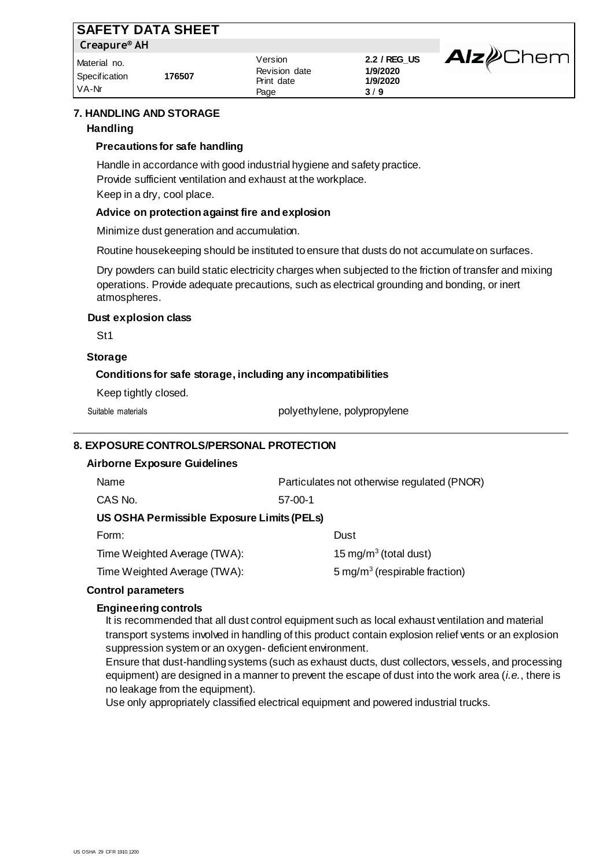|                          | <b>SAFETY DATA SHEET</b> |                          |                          |                         |
|--------------------------|--------------------------|--------------------------|--------------------------|-------------------------|
| Creapure <sup>®</sup> AH |                          |                          |                          |                         |
| Material no.             |                          | Version<br>Revision date | 2.2 / REG_US<br>1/9/2020 | <b>Alz</b> <i></i> Chem |
| Specification<br>VA-Nr   | 176507                   | Print date<br>Page       | 1/9/2020<br>3/9          |                         |

# **7. HANDLING AND STORAGE Handling**

### **Precautions for safe handling**

Handle in accordance with good industrial hygiene and safety practice. Provide sufficient ventilation and exhaust at the workplace. Keep in a dry, cool place.

#### **Advice on protection against fire and explosion**

Minimize dust generation and accumulation.

Routine housekeeping should be instituted to ensure that dusts do not accumulate on surfaces.

Dry powders can build static electricity charges when subjected to the friction of transfer and mixing operations. Provide adequate precautions, such as electrical grounding and bonding, or inert atmospheres.

#### **Dust explosion class**

St1

# **Storage**

#### **Conditions for safe storage, including any incompatibilities**

Keep tightly closed.

Suitable materials example and the polyethylene, polypropylene

#### **8. EXPOSURE CONTROLS/PERSONAL PROTECTION**

| <b>Airborne Exposure Guidelines</b> |
|-------------------------------------|
|-------------------------------------|

| Name                                       | Particulates not otherwise regulated (PNOR) |  |  |  |
|--------------------------------------------|---------------------------------------------|--|--|--|
| CAS No.                                    | $57-00-1$                                   |  |  |  |
| US OSHA Permissible Exposure Limits (PELs) |                                             |  |  |  |
| Form:                                      | Dust                                        |  |  |  |
| Time Weighted Average (TWA):               | 15 mg/m <sup>3</sup> (total dust)           |  |  |  |
| Time Weighted Average (TWA):               | 5 mg/m <sup>3</sup> (respirable fraction)   |  |  |  |
| ontrol naramotore                          |                                             |  |  |  |

### **Control parameters**

#### **Engineering controls**

It is recommended that all dust control equipment such as local exhaust ventilation and material transport systems involved in handling of this product contain explosion relief vents or an explosion suppression system or an oxygen- deficient environment.

Ensure that dust-handling systems (such as exhaust ducts, dust collectors, vessels, and processing equipment) are designed in a manner to prevent the escape of dust into the work area (*i.e.*, there is no leakage from the equipment).

Use only appropriately classified electrical equipment and powered industrial trucks.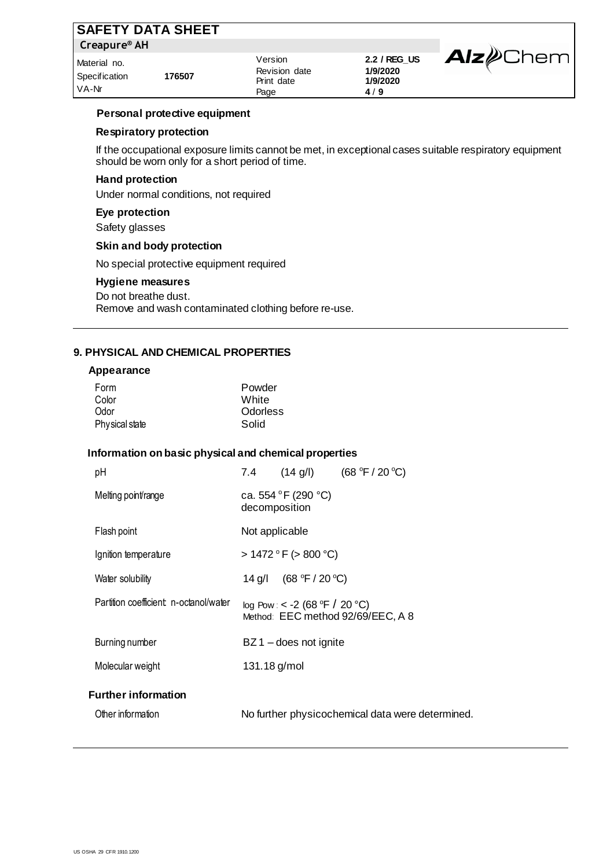| <b>SAFETY DATA SHEET</b>               |        |                                                |                                             |                         |
|----------------------------------------|--------|------------------------------------------------|---------------------------------------------|-------------------------|
| Creapure <sup>®</sup> AH               |        |                                                |                                             |                         |
| Material no.<br>Specification<br>VA-Nr | 176507 | Version<br>Revision date<br>Print date<br>Page | 2.2 / REG_US<br>1/9/2020<br>1/9/2020<br>4/9 | <b>Alz</b> <i></i> Chem |

### **Personal protective equipment**

# **Respiratory protection**

If the occupational exposure limits cannot be met, in exceptional cases suitable respiratory equipment should be worn only for a short period of time.

# **Hand protection**

Under normal conditions, not required

### **Eye protection**

Safety glasses

### **Skin and body protection**

No special protective equipment required

### **Hygiene measures**

Do not breathe dust. Remove and wash contaminated clothing before re-use.

### **9. PHYSICAL AND CHEMICAL PROPERTIES**

#### **Appearance**

### **Information on basic physical and chemical properties**

| рH                                    |                |                                      | 7.4 $(14 \text{ g/l})$ $(68 \text{ °F} / 20 \text{ °C})$ |
|---------------------------------------|----------------|--------------------------------------|----------------------------------------------------------|
| Melting point/range                   |                | ca. 554 °F (290 °C)<br>decomposition |                                                          |
| Flash point                           | Not applicable |                                      |                                                          |
| Ignition temperature                  |                | $> 1472$ ° F ( $> 800$ °C)           |                                                          |
| Water solubility                      |                | 14 g/l $(68 °F / 20 °C)$             |                                                          |
| Partition coefficient n-octanol/water |                | log Pow: < -2 (68 °F / 20 °C)        | Method: EEC method 92/69/EEC, A 8                        |
| Burning number                        |                | $BZ1 -$ does not ignite              |                                                          |
| Molecular weight                      | 131.18 g/mol   |                                      |                                                          |
| <b>Further information</b>            |                |                                      |                                                          |
| Other information                     |                |                                      | No further physicochemical data were determined.         |
|                                       |                |                                      |                                                          |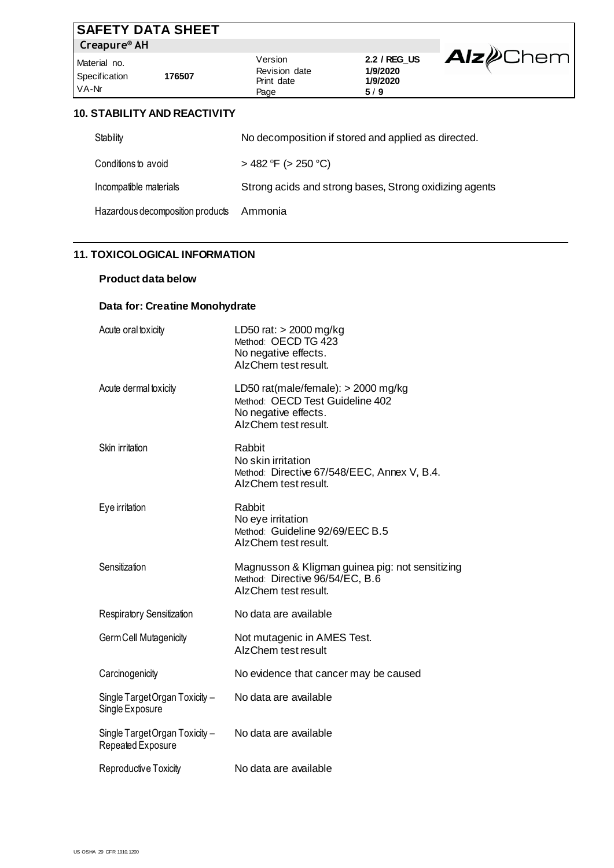|                                        | <b>SAFETY DATA SHEET</b>            |                                                |                                             |                         |
|----------------------------------------|-------------------------------------|------------------------------------------------|---------------------------------------------|-------------------------|
| Creapure <sup>®</sup> AH               |                                     |                                                |                                             |                         |
| Material no.<br>Specification<br>VA-Nr | 176507                              | Version<br>Revision date<br>Print date<br>Page | 2.2 / REG_US<br>1/9/2020<br>1/9/2020<br>5/9 | <b>Alz</b> <i></i> Chem |
|                                        | <b>10. STABILITY AND REACTIVITY</b> |                                                |                                             |                         |

### **10. STABILITY AND REACTIVITY**

| Stability                        | No decomposition if stored and applied as directed.    |
|----------------------------------|--------------------------------------------------------|
| Conditions to avoid              | $>$ 482 °F ( $>$ 250 °C)                               |
| Incompatible materials           | Strong acids and strong bases, Strong oxidizing agents |
| Hazardous decomposition products | Ammonia                                                |

# **11. TOXICOLOGICAL INFORMATION**

# **Product data below**

# **Data for: Creatine Monohydrate**

| Acute oral toxicity                                 | LD50 rat: $>$ 2000 mg/kg<br>Method: OECD TG 423<br>No negative effects.<br>AlzChem test result.                          |
|-----------------------------------------------------|--------------------------------------------------------------------------------------------------------------------------|
| Acute dermal toxicity                               | LD50 rat(male/female): $>$ 2000 mg/kg<br>Method: OECD Test Guideline 402<br>No negative effects.<br>AlzChem test result. |
| Skin irritation                                     | Rabbit<br>No skin irritation<br>Method: Directive 67/548/EEC, Annex V, B.4.<br>AlzChem test result.                      |
| Eye irritation                                      | Rabbit<br>No eye irritation<br>Method: Guideline 92/69/EEC B.5<br>AlzChem test result.                                   |
| Sensitization                                       | Magnusson & Kligman guinea pig: not sensitizing<br>Method: Directive 96/54/EC, B.6<br>AlzChem test result.               |
| Respiratory Sensitization                           | No data are available                                                                                                    |
| Germ Cell Mutagenicity                              | Not mutagenic in AMES Test.<br>AlzChem test result                                                                       |
| Carcinogenicity                                     | No evidence that cancer may be caused                                                                                    |
| Single Target Organ Toxicity -<br>Single Exposure   | No data are available                                                                                                    |
| Single Target Organ Toxicity -<br>Repeated Exposure | No data are available                                                                                                    |
| Reproductive Toxicity                               | No data are available                                                                                                    |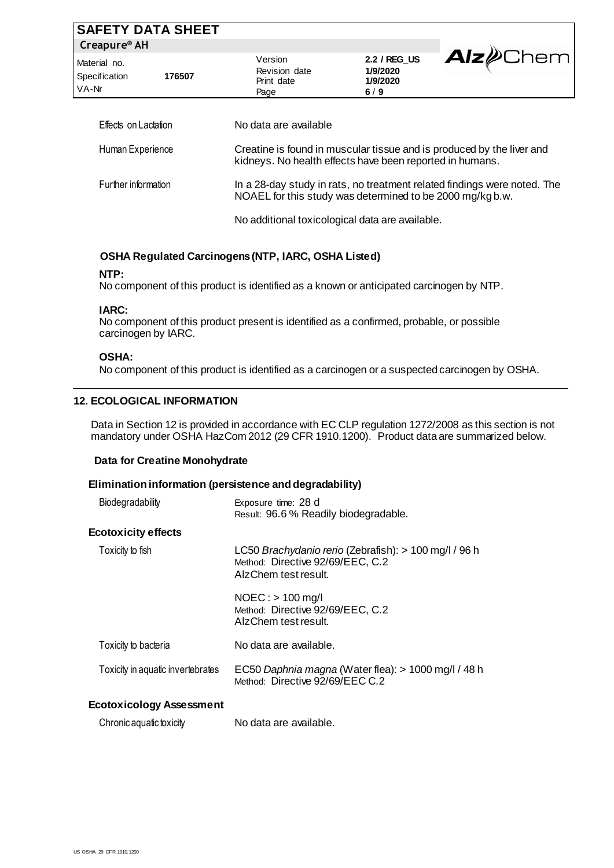| <b>SAFETY DATA SHEET</b>               |        |                                                                                                                                      |                                             |                   |
|----------------------------------------|--------|--------------------------------------------------------------------------------------------------------------------------------------|---------------------------------------------|-------------------|
| Creapure <sup>®</sup> AH               |        |                                                                                                                                      |                                             |                   |
| Material no.<br>Specification<br>VA-Nr | 176507 | Version<br>Revision date<br>Print date<br>Page                                                                                       | 2.2 / REG_US<br>1/9/2020<br>1/9/2020<br>6/9 | Alz <i>e</i> Chem |
| Effects on Lactation                   |        | No data are available                                                                                                                |                                             |                   |
| Human Experience                       |        | Creatine is found in muscular tissue and is produced by the liver and<br>kidneys. No health effects have been reported in humans.    |                                             |                   |
| Further information                    |        | In a 28-day study in rats, no treatment related findings were noted. The<br>NOAEL for this study was determined to be 2000 mg/kgb.w. |                                             |                   |

No additional toxicological data are available.

# **OSHA Regulated Carcinogens (NTP, IARC, OSHA Listed)**

#### **NTP:**

No component of this product is identified as a known or anticipated carcinogen by NTP.

# **IARC:**

No component of this product present is identified as a confirmed, probable, or possible carcinogen by IARC.

# **OSHA:**

No component of this product is identified as a carcinogen or a suspected carcinogen by OSHA.

# **12. ECOLOGICAL INFORMATION**

Data in Section 12 is provided in accordance with EC CLP regulation 1272/2008 as this section is not mandatory under OSHA HazCom 2012 (29 CFR 1910.1200). Product data are summarized below.

# **Data for Creatine Monohydrate**

#### **Elimination information (persistence and degradability)**

| Biodegradability                  | Exposure time: 28 d<br>Result: 96.6 % Readily biodegradable.                                                      |
|-----------------------------------|-------------------------------------------------------------------------------------------------------------------|
| <b>Ecotoxicity effects</b>        |                                                                                                                   |
| Toxicity to fish                  | LC50 Brachydanio rerio (Zebrafish): > 100 mg/l / 96 h<br>Method: Directive 92/69/EEC, C.2<br>AlzChem test result. |
|                                   | $NOEC:$ > 100 mg/l<br>Method: Directive 92/69/EEC, C.2<br>AlzChem test result.                                    |
| Toxicity to bacteria              | No data are available.                                                                                            |
| Toxicity in aquatic invertebrates | EC50 Daphnia magna (Water flea): > 1000 mg/l / 48 h<br>Method: Directive 92/69/EEC C.2                            |
| <b>Ecotoxicology Assessment</b>   |                                                                                                                   |
|                                   |                                                                                                                   |

Chronic aquatic toxicity No data are available.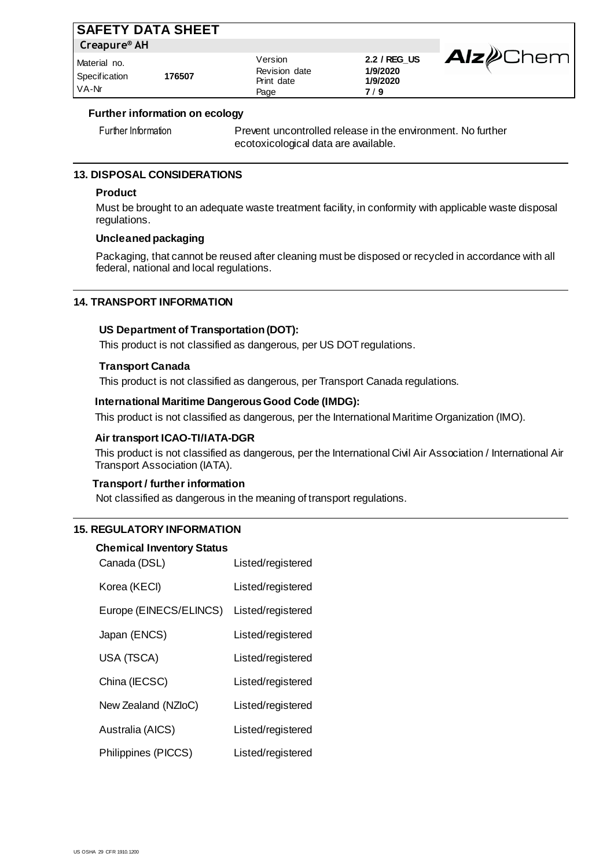| <b>SAFETY DATA SHEET</b>               |        |                                                |                                             |                        |
|----------------------------------------|--------|------------------------------------------------|---------------------------------------------|------------------------|
| Creapure <sup>®</sup> AH               |        |                                                |                                             |                        |
| Material no.<br>Specification<br>VA-Nr | 176507 | Version<br>Revision date<br>Print date<br>Page | 2.2 / REG_US<br>1/9/2020<br>1/9/2020<br>7/9 | <b>Alz</b> <i>Chem</i> |

### **Further information on ecology**

Further Information Prevent uncontrolled release in the environment. No further ecotoxicological data are available.

# **13. DISPOSAL CONSIDERATIONS**

# **Product**

Must be brought to an adequate waste treatment facility, in conformity with applicable waste disposal regulations.

### **Uncleaned packaging**

Packaging, that cannot be reused after cleaning must be disposed or recycled in accordance with all federal, national and local regulations.

### **14. TRANSPORT INFORMATION**

#### **US Department of Transportation (DOT):**

This product is not classified as dangerous, per US DOT regulations.

#### **Transport Canada**

This product is not classified as dangerous, per Transport Canada regulations.

# **International Maritime Dangerous Good Code (IMDG):**

This product is not classified as dangerous, per the International Maritime Organization (IMO).

#### **Air transport ICAO-TI/IATA-DGR**

This product is not classified as dangerous, per the International Civil Air Association / International Air Transport Association (IATA).

# **Transport / further information**

Not classified as dangerous in the meaning of transport regulations.

#### **15. REGULATORY INFORMATION**

# **Chemical Inventory Status**

| Canada (DSL)           | Listed/registered |
|------------------------|-------------------|
| Korea (KECI)           | Listed/registered |
| Europe (EINECS/ELINCS) | Listed/registered |
| Japan (ENCS)           | Listed/registered |
| USA (TSCA)             | Listed/registered |
| China (IECSC)          | Listed/registered |
| New Zealand (NZloC)    | Listed/registered |
| Australia (AICS)       | Listed/registered |
| Philippines (PICCS)    | Listed/registered |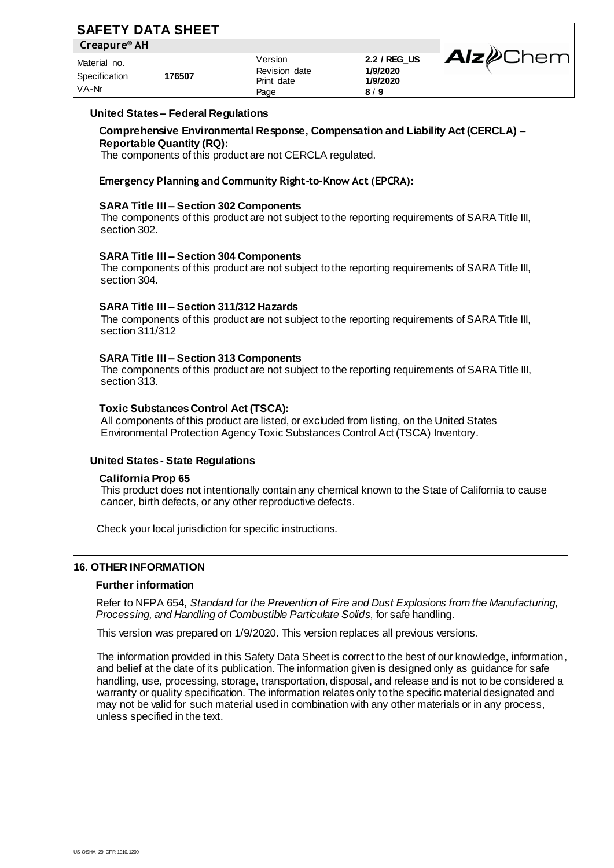| <b>SAFETY DATA SHEET</b>               |        |                                                |                                             |                         |
|----------------------------------------|--------|------------------------------------------------|---------------------------------------------|-------------------------|
| Creapure <sup>®</sup> AH               |        |                                                |                                             |                         |
| Material no.<br>Specification<br>VA-Nr | 176507 | Version<br>Revision date<br>Print date<br>Page | 2.2 / REG_US<br>1/9/2020<br>1/9/2020<br>8/9 | <b>Alz</b> <i></i> Chem |

#### **United States – Federal Regulations**

**Comprehensive Environmental Response, Compensation and Liability Act (CERCLA) – Reportable Quantity (RQ):** The components of this product are not CERCLA regulated.

**Emergency Planning and Community Right-to-Know Act (EPCRA):**

#### **SARA Title III – Section 302 Components**

The components of this product are not subject to the reporting requirements of SARA Title III, section 302.

#### **SARA Title III – Section 304 Components**

The components of this product are not subject to the reporting requirements of SARA Title III, section 304.

#### **SARA Title III – Section 311/312 Hazards**

The components of this product are not subject to the reporting requirements of SARA Title III, section 311/312

#### **SARA Title III – Section 313 Components**

The components of this product are not subject to the reporting requirements of SARA Title III, section 313.

#### **Toxic Substances Control Act (TSCA):**

All components of this product are listed, or excluded from listing, on the United States Environmental Protection Agency Toxic Substances Control Act (TSCA) Inventory.

#### **United States - State Regulations**

#### **California Prop 65**

This product does not intentionally contain any chemical known to the State of California to cause cancer, birth defects, or any other reproductive defects.

Check your local jurisdiction for specific instructions.

#### **16. OTHER INFORMATION**

#### **Further information**

Refer to NFPA 654, *Standard for the Prevention of Fire and Dust Explosions from the Manufacturing, Processing, and Handling of Combustible Particulate Solids*, for safe handling.

This version was prepared on 1/9/2020. This version replaces all previous versions.

The information provided in this Safety Data Sheet is correct to the best of our knowledge, information, and belief at the date of its publication. The information given is designed only as guidance for safe handling, use, processing, storage, transportation, disposal, and release and is not to be considered a warranty or quality specification. The information relates only to the specific material designated and may not be valid for such material used in combination with any other materials or in any process, unless specified in the text.